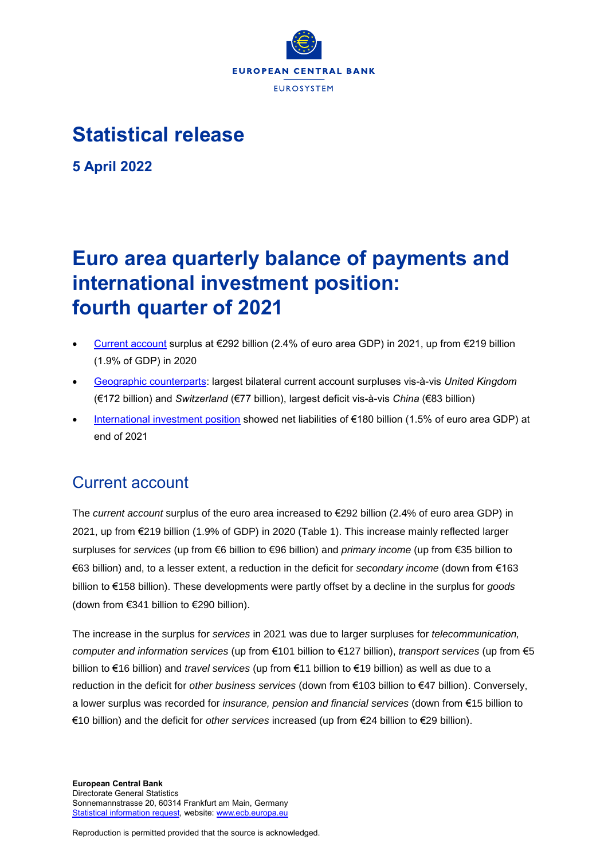

# **Statistical release**

**5 April 2022**

# **Euro area quarterly balance of payments and international investment position: fourth quarter of 2021**

- [Current account](http://sdw.ecb.europa.eu/browseSelection.do?type=series&q=BP6.Q.N.I8.W1.S1.S1.T.B.CA._Z._Z._Z.EUR._T._X.N&node=SEARCHRESULTS&ec=&oc=&rc=&cv=&pb=&dc=&df=) surplus at €292 billion (2.4% of euro area GDP) in 2021, up from €219 billion (1.9% of GDP) in 2020
- [Geographic counterparts:](http://sdw.ecb.europa.eu/browseSelection.do?df=true&ec=&dc=&oc=&pb=&rc=&DATASET=0&removeItem=&removedItemList=&mergeFilter=&activeTab=&showHide=&FREQ.243=Q&ADJUSTMENT.243=N&REF_AREA.243=I8&COUNTERPART_AREA.243=CH&COUNTERPART_AREA.243=CN&COUNTERPART_AREA.243=GB&COUNTERPART_AREA.243=JP&COUNTERPART_AREA.243=K9&COUNTERPART_AREA.243=R12&COUNTERPART_AREA.243=RU&COUNTERPART_AREA.243=US&COUNTERPART_AREA.243=W1&REF_SECTOR.243=S1&ACCOUNTING_ENTRY.243=B&INT_ACC_ITEM.243=CA&INT_ACC_ITEM.243=G&INT_ACC_ITEM.243=IN1&INT_ACC_ITEM.243=IN2&INT_ACC_ITEM.243=S&UNIT_MEASURE.243=EUR&node=9688874&legendRef=reference&legendNor=) largest bilateral current account surpluses vis-à-vis *United Kingdom* (€172 billion) and *Switzerland* (€77 billion), largest deficit vis-à-vis *China* (€83 billion)
- [International investment position](https://sdw.ecb.europa.eu/browseSelection.do?type=series&q=BP6.Q.N.I8.W1.S1.S1.LE.N.FA._T.F._Z.EUR._T._X.N+BP6.Q.N.I8.W1.S1.S1.LE.N.FA.D.F._Z.EUR._T._X.N+BP6.Q.N.I8.W1.S1.S1.LE.N.FA.F.F7.T.EUR._T.T.N+BP6.Q.N.I8.W1.S1.S1.LE.N.FA.O.F._Z.EUR._T._X.N+BP6.Q.N.I8.W1.S1.S1.LE.N.FA.P.F3.T.EUR._T.M.N+BP6.Q.N.I8.W1.S1.S1.LE.N.FA.P.F5._Z.EUR._T.M.N+BP6.Q.N.I8.W1.S121.S1.LE.A.FA.R.F._Z.EUR.X1._X.N&node=SEARCHRESULTS&ec=&oc=&rc=&cv=&pb=&dc=&df=) showed net liabilities of €180 billion (1.5% of euro area GDP) at end of 2021

# Current account

The *current account* surplus of the euro area increased to €292 billion (2.4% of euro area GDP) in 2021, up from €219 billion (1.9% of GDP) in 2020 (Table 1). This increase mainly reflected larger surpluses for *services* (up from €6 billion to €96 billion) and *primary income* (up from €35 billion to €63 billion) and, to a lesser extent, a reduction in the deficit for *secondary income* (down from €163 billion to €158 billion). These developments were partly offset by a decline in the surplus for *goods* (down from €341 billion to €290 billion).

The increase in the surplus for *services* in 2021 was due to larger surpluses for *telecommunication, computer and information services* (up from €101 billion to €127 billion), *transport services* (up from €5 billion to €16 billion) and *travel services* (up from €11 billion to €19 billion) as well as due to a reduction in the deficit for *other business services* (down from €103 billion to €47 billion). Conversely, a lower surplus was recorded for *insurance, pension and financial services* (down from €15 billion to €10 billion) and the deficit for *other services* increased (up from €24 billion to €29 billion).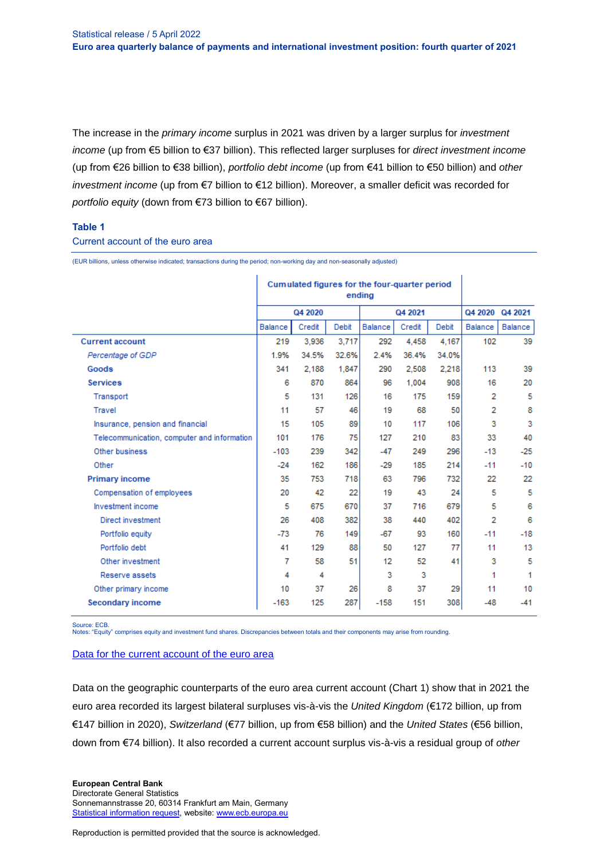The increase in the *primary income* surplus in 2021 was driven by a larger surplus for *investment income* (up from €5 billion to €37 billion). This reflected larger surpluses for *direct investment income*  (up from €26 billion to €38 billion), *portfolio debt income* (up from €41 billion to €50 billion) and *other investment income* (up from €7 billion to €12 billion). Moreover, a smaller deficit was recorded for *portfolio equity* (down from €73 billion to €67 billion).

### **Table 1**

### Current account of the euro area

Cumulated figures for the four-quarter period ending Q4 2020 Q4 2021 Q4 2020 Q4 2021 Balance Credit Debit Balance Credit Debit **Balance** Balance **Current account** 3,936 3,717 292 4,458 4,167 102 39 219 36.4% Percentage of GDP 1.9% 34.5% 32.6% 2.4% 34.0% Goods 341 2,188 1,847 290 2,508  $2,218$ 113 39 **Services** 6 870 864 96 1,004  $908$ 16 20 5 5 131 126 175 159  $\overline{2}$ Transport 16 Travel 11 57 46 19 68  $50$  $\overline{2}$ 8 Insurance, pension and financial 15 105 89  $10$ 117 106  $\overline{3}$ 3 Telecommunication, computer and information 101 176 75 127 210 83 33 40 Other business  $-103$ 239 342  $-47$ 249 296  $-13$  $-25$  $-29$ Other 186 185  $-10$  $-24$ 162 214  $-11$ **Primary income** 753 718 63 796 732 22 35 22 Compensation of employees 20 42 22 19 43 24 5 -5 Investment income 5 675 670 37 716 679 5  $\boldsymbol{6}$  $\overline{2}$ Direct investment 26 408 382 38 440 402 6  $-67$ 76 149 160  $-18$ Portfolio equity  $-73$ 93  $-11$ Portfolio debt 50 127 77 13 41 129 88 11 Other investment  $\overline{7}$ 58 51 12 52 41 3 5 Reserve assets  $\overline{4}$  $\overline{4}$ 3  $\overline{\phantom{a}}$ 1 1 Other primary income 10 37 26 8 37 29 11 10 287 151 **Secondary income**  $-158$ 308  $-163$ 125  $-48$  $-41$ 

(EUR billions, unless otherwise indicated; transactions during the period; non-working day and non-seasonally adjusted)

Source: ECB.

Notes: "Equity" comprises equity and investment fund shares. Discrepancies between totals and their components may arise from rounding.

#### [Data for the current account of the euro area](http://sdw.ecb.europa.eu/browseSelection.do?type=series&q=BP6.Q.N.I8.W1.S1.S1.T.%3f.CA._Z._Z._Z.EUR._T._X.N%09BP6.Q.N.I8.W1.S1.S1.T.%3f.D1._Z._Z._Z.EUR._T._X.N%09BP6.Q.N.I8.W1.S1.S1.T.%3f.D41.P.F3.T.EUR._T._X.N%09BP6.Q.N.I8.W1.S1.S1.T.%3f.D4O._Z._Z._Z.EUR._T._X.N%09BP6.Q.N.I8.W1.S1.S1.T.%3f.D4P._T.F._Z.EUR._T._X.N%09BP6.Q.N.I8.W1.S1.S1.T.%3f.D4P.D.F._Z.EUR._T._X.N%09BP6.Q.N.I8.W1.S1.S1.T.%3f.D4P.O.F._Z.EUR._T._X.N%09BP6.Q.N.I8.W1.S1.S1.T.%3f.D4S.P.F5._Z.EUR._T._X.N%09BP6.Q.N.I8.W1.S1.S1.T.%3f.G._Z._Z._Z.EUR._T._X.N%09BP6.Q.N.I8.W1.S1.S1.T.%3f.G1._Z._Z._Z.EUR._T._X.N%09BP6.Q.N.I8.W1.S1.S1.T.%3f.IN1._Z._Z._Z.EUR._T._X.N%09BP6.Q.N.I8.W1.S1.S1.T.%3f.IN2._Z._Z._Z.EUR._T._X.N%09BP6.Q.N.I8.W1.S1.S1.T.%3f.S._Z._Z._Z.EUR._T._X.N%09BP6.Q.N.I8.W1.S1.S1.T.%3f.SC._Z._Z._Z.EUR._T._X.N%09BP6.Q.N.I8.W1.S1.S1.T.%3f.SD._Z._Z._Z.EUR._T._X.N%09BP6.Q.N.I8.W1.S1.S1.T.%3f.SF._Z._Z._Z.EUR._T._X.N%09BP6.Q.N.I8.W1.S1.S1.T.%3f.SI._Z._Z._Z.EUR._T._X.N%09BP6.Q.N.I8.W1.S1.S1.T.%3f.SJ._Z._Z._Z.EUR._T._X.N%09BP6.Q.N.I8.W1.S121.S1.T.C.D4P.R.F._Z.EUR.X1._X.N&node=SEARCHRESULTS&ec=&oc=&rc=&cv=&pb=&dc=&df=)

Data on the geographic counterparts of the euro area current account (Chart 1) show that in 2021 the euro area recorded its largest bilateral surpluses vis-à-vis the *United Kingdom* (€172 billion, up from €147 billion in 2020), *Switzerland* (€77 billion, up from €58 billion) and the *United States* (€56 billion, down from €74 billion). It also recorded a current account surplus vis-à-vis a residual group of *other*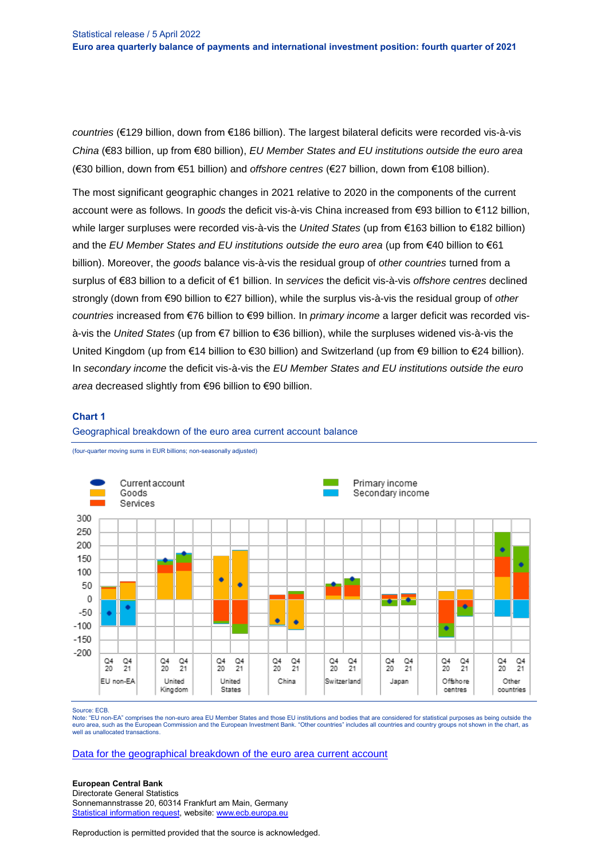*countries* (€129 billion, down from €186 billion). The largest bilateral deficits were recorded vis-à-vis *China* (€83 billion, up from €80 billion), *EU Member States and EU institutions outside the euro area* (€30 billion, down from €51 billion) and *offshore centres* (€27 billion, down from €108 billion).

The most significant geographic changes in 2021 relative to 2020 in the components of the current account were as follows. In *goods* the deficit vis-à-vis China increased from €93 billion to €112 billion, while larger surpluses were recorded vis-à-vis the *United States* (up from €163 billion to €182 billion) and the *EU Member States and EU institutions outside the euro area* (up from €40 billion to €61 billion). Moreover, the *goods* balance vis-à-vis the residual group of *other countries* turned from a surplus of €83 billion to a deficit of €1 billion. In *services* the deficit vis-à-vis *offshore centres* declined strongly (down from €90 billion to €27 billion), while the surplus vis-à-vis the residual group of *other countries* increased from €76 billion to €99 billion. In *primary income* a larger deficit was recorded visà-vis the *United States* (up from €7 billion to €36 billion), while the surpluses widened vis-à-vis the United Kingdom (up from €14 billion to €30 billion) and Switzerland (up from €9 billion to €24 billion). In *secondary income* the deficit vis-à-vis the *EU Member States and EU institutions outside the euro area* decreased slightly from €96 billion to €90 billion.

#### **Chart 1**





(four-quarter moving sums in EUR billions; non-seasonally adjusted)

Source: ECB.

Note: "EU non-EA" comprises the non-euro area EU Member States and those EU institutions and bodies that are considered for statistical purposes as being outside the euro area, such as the European Commission and the European Investment Bank. "Other countries" includes all countries and country groups not shown in the chart, as well as unallocated transactions.

[Data for the geographical breakdown of the euro area current account](http://sdw.ecb.europa.eu/browseSelection.do?type=series&q=BP6.Q.N.I8.%5e%5e.S1.S1.T.B.CA._Z._Z._Z.EUR._T._X.N%09BP6.Q.N.I8.%5e%5e.S1.S1.T.B.G._Z._Z._Z.EUR._T._X.N%09BP6.Q.N.I8.%5e%5e.S1.S1.T.B.IN1._Z._Z._Z.EUR._T._X.N%09BP6.Q.N.I8.%5e%5e.S1.S1.T.B.IN2._Z._Z._Z.EUR._T._X.N%09BP6.Q.N.I8.%5e%5e.S1.S1.T.B.S._Z._Z._Z.EUR._T._X.N&node=SEARCHRESULTS&ec=&oc=&rc=&cv=&pb=&dc=&df=)

#### **European Central Bank**

Directorate General Statistics Sonnemannstrasse 20, 60314 Frankfurt am Main, Germany [Statistical information request,](https://ecb-registration.escb.eu/statistical-information) website: [www.ecb.europa.eu](http://www.ecb.europa.eu/)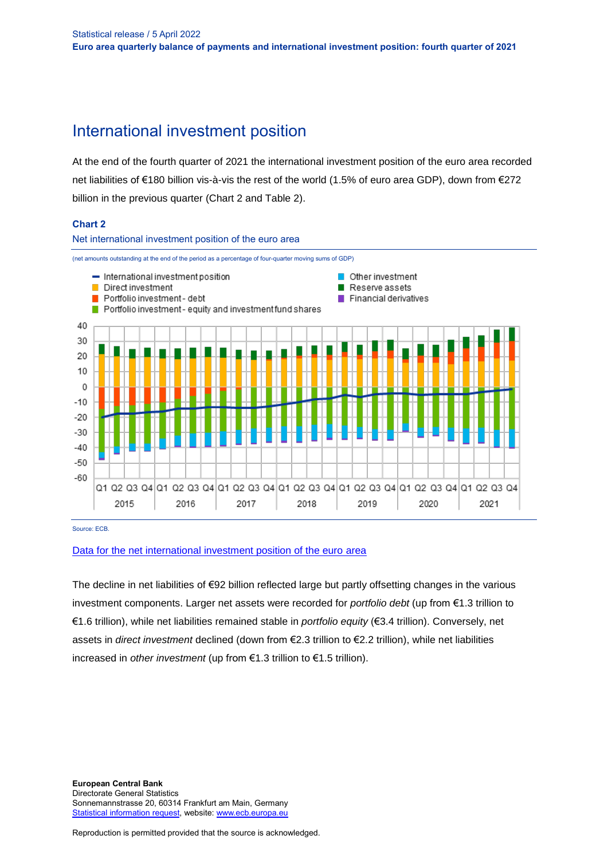# International investment position

At the end of the fourth quarter of 2021 the international investment position of the euro area recorded net liabilities of €180 billion vis-à-vis the rest of the world (1.5% of euro area GDP), down from €272 billion in the previous quarter (Chart 2 and Table 2).

# **Chart 2**



Source: ECB.

### [Data for the net international investment position of the euro area](http://sdw.ecb.europa.eu/browseSelection.do?type=series&q=BP6.Q.N.I8.W1.S1.S1.LE.N.FA._T.F._Z.EUR._T._X.N+BP6.Q.N.I8.W1.S1.S1.LE.N.FA.D.F._Z.EUR._T._X.N+BP6.Q.N.I8.W1.S1.S1.LE.N.FA.F.F7.T.EUR._T.T.N+BP6.Q.N.I8.W1.S1.S1.LE.N.FA.O.F._Z.EUR._T._X.N+BP6.Q.N.I8.W1.S1.S1.LE.N.FA.P.F3.T.EUR._T.M.N+BP6.Q.N.I8.W1.S1.S1.LE.N.FA.P.F5._Z.EUR._T.M.N+BP6.Q.N.I8.W1.S121.S1.LE.A.FA.R.F._Z.EUR.X1._X.N&node=SEARCHRESULTS&ec=&oc=&rc=&cv=&pb=&dc=&df=)

The decline in net liabilities of €92 billion reflected large but partly offsetting changes in the various investment components. Larger net assets were recorded for *portfolio debt* (up from €1.3 trillion to €1.6 trillion), while net liabilities remained stable in *portfolio equity* (€3.4 trillion). Conversely, net assets in *direct investment* declined (down from €2.3 trillion to €2.2 trillion), while net liabilities increased in *other investment* (up from €1.3 trillion to €1.5 trillion).

**European Central Bank** Directorate General Statistics Sonnemannstrasse 20, 60314 Frankfurt am Main, Germany [Statistical information request,](https://ecb-registration.escb.eu/statistical-information) website: [www.ecb.europa.eu](http://www.ecb.europa.eu/)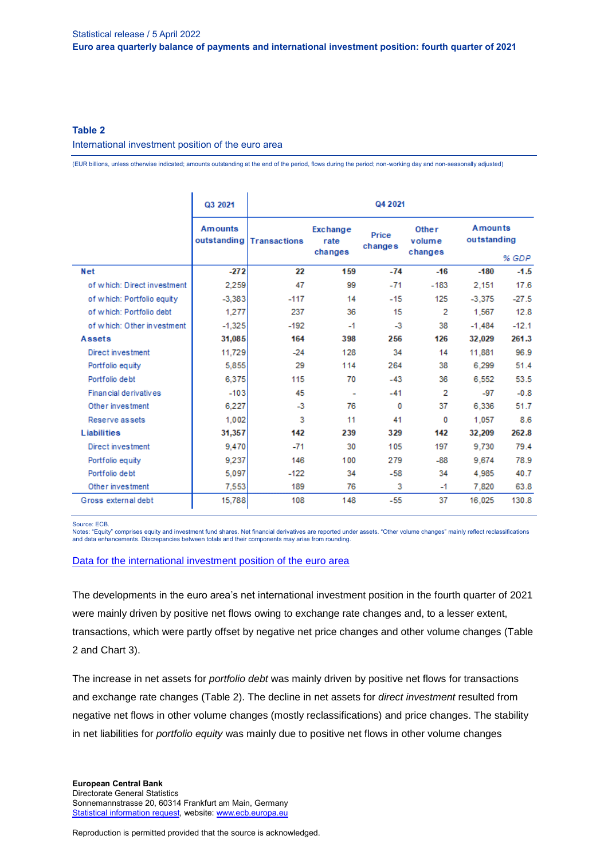# **Table 2**

International investment position of the euro area

(EUR billions, unless otherwise indicated; amounts outstanding at the end of the period, flows during the period; non-working day and non-seasonally adjusted)

|                             | Q3 2021                       | Q4 2021             |                             |                  |                            |                                        |         |  |  |
|-----------------------------|-------------------------------|---------------------|-----------------------------|------------------|----------------------------|----------------------------------------|---------|--|--|
|                             | <b>Amounts</b><br>outstanding | <b>Transactions</b> | Exchange<br>rate<br>changes | Price<br>changes | Other<br>volume<br>changes | <b>Amounts</b><br>outstanding<br>% GDP |         |  |  |
| Net                         | $-272$                        | 22                  | 159                         | $-74$            | $-16$                      | $-180$                                 | $-1.5$  |  |  |
| of which: Direct investment | 2,259                         | 47                  | 99                          | $-71$            | $-183$                     | 2,151                                  | 17.6    |  |  |
| of which: Portfolio equity  | $-3,383$                      | $-117$              | 14                          | $-15$            | 125                        | $-3,375$                               | $-27.5$ |  |  |
| of which: Portfolio debt    | 1,277                         | 237                 | 36                          | 15               | 2                          | 1,567                                  | 12.8    |  |  |
| of which: Other investment  | $-1,325$                      | $-192$              | $-1$                        | $-3$             | 38                         | $-1,484$                               | $-12.1$ |  |  |
| <b>Assets</b>               | 31,085                        | 164                 | 398                         | 256              | 126                        | 32,029                                 | 261.3   |  |  |
| Direct investment           | 11,729                        | $-24$               | 128                         | 34               | 14                         | 11,881                                 | 96.9    |  |  |
| Portfolio equity            | 5,855                         | 29                  | 114                         | 264              | 38                         | 6,299                                  | 51.4    |  |  |
| Portfolio debt              | 6,375                         | 115                 | 70                          | $-43$            | 36                         | 6,552                                  | 53.5    |  |  |
| Financial derivatives       | $-103$                        | 45                  | $\overline{\phantom{0}}$    | $-41$            | 2                          | $-97$                                  | $-0.8$  |  |  |
| Other investment            | 6,227                         | $-3$                | 76                          | 0                | 37                         | 6,336                                  | 51.7    |  |  |
| Reserve assets              | 1,002                         | 3                   | 11                          | 41               | 0                          | 1,057                                  | 8.6     |  |  |
| <b>Liabilities</b>          | 31,357                        | 142                 | 239                         | 329              | 142                        | 32,209                                 | 262.8   |  |  |
| Direct investment           | 9,470                         | $-71$               | 30                          | 105              | 197                        | 9,730                                  | 79.4    |  |  |
| Portfolio equity            | 9,237                         | 146                 | 100                         | 279              | $-88$                      | 9,674                                  | 78.9    |  |  |
| Portfolio debt              | 5,097                         | $-122$              | 34                          | $-58$            | 34                         | 4,985                                  | 40.7    |  |  |
| Other investment            | 7,553                         | 189                 | 76                          | 3                | $-1$                       | 7,820                                  | 63.8    |  |  |
| Gross external debt         | 15,788                        | 108                 | 148                         | $-55$            | 37                         | 16,025                                 | 130.8   |  |  |

Source: ECB.

Notes: "Equity" comprises equity and investment fund shares. Net financial derivatives are reported under assets. "Other volume changes" mainly reflect reclassifications and data enhancements. Discrepancies between totals and their components may arise from rounding.

#### [Data for the international investment position of the euro area](http://sdw.ecb.europa.eu/browseSelection.do?type=series&q=BP6.Q.N.I8.W1.S1.S1.K7%3f.%3f.FA._T.F._Z.EUR._T._X.N%09BP6.Q.N.I8.W1.S1.S1.K7%3f.%3f.FA.D.F._Z.EUR._T._X.N%09BP6.Q.N.I8.W1.S1.S1.K7%3f.%3f.FA.O.F._Z.EUR._T._X.N%09BP6.Q.N.I8.W1.S1.S1.K7%3f.%3f.FA.P.F3.T.EUR._T.M.N%09BP6.Q.N.I8.W1.S1.S1.K7%3f.%3f.FA.P.F5._Z.EUR._T.M.N%09BP6.Q.N.I8.W1.S1.S1.K7A.N.FA.F.F7.T.EUR._T.T.N%09BP6.Q.N.I8.W1.S1.S1.K7B.N.FA.F.F7.T.EUR._T.T.N%09BP6.Q.N.I8.W1.S1.S1.KA.%3f.FA._X.F._Z.EUR._T._X.N%09BP6.Q.N.I8.W1.S1.S1.KA.%3f.FA.D.F._Z.EUR._T._X.N%09BP6.Q.N.I8.W1.S1.S1.KA.%3f.FA.O.F._Z.EUR._T._X.N%09BP6.Q.N.I8.W1.S1.S1.KA.%3f.FA.P.F3.T.EUR._T.M.N%09BP6.Q.N.I8.W1.S1.S1.KA.%3f.FA.P.F5._Z.EUR._T.M.N%09BP6.Q.N.I8.W1.S1.S1.KA.N.FA._T.F._Z.EUR._T._X.N%09BP6.Q.N.I8.W1.S1.S1.KA.N.FA.F.F7.T.EUR._T.T.N%09BP6.Q.N.I8.W1.S1.S1.LE.%5e.FA._X.F._Z.EUR._T._X.N%09BP6.Q.N.I8.W1.S1.S1.LE.%5e.FA.D.F._Z.EUR._T._X.N%09BP6.Q.N.I8.W1.S1.S1.LE.%5e.FA.O.F._Z.EUR._T._X.N%09BP6.Q.N.I8.W1.S1.S1.LE.%5e.FA.P.F3.T.EUR._T.M.N%09BP6.Q.N.I8.W1.S1.S1.LE.%5e.FA.P.F5._Z.EUR._T.M.N%09BP6.Q.N.I8.W1.S1.S1.LE.N.FA._T.F._Z.EUR._T._X.N%09BP6.Q.N.I8.W1.S1.S1.LE.N.FA.F.F7.T.EUR._T.T.N%09BP6.Q.N.I8.W1.S1.S1.T.%5e.FA._T.F._Z.EUR._T._X.N%09BP6.Q.N.I8.W1.S1.S1.T.%5e.FA.D.F._Z.EUR._T._X.N%09BP6.Q.N.I8.W1.S1.S1.T.%5e.FA.O.F._Z.EUR._T._X.N%09BP6.Q.N.I8.W1.S1.S1.T.%5e.FA.P.F3.T.EUR._T.M.N%09BP6.Q.N.I8.W1.S1.S1.T.%5e.FA.P.F5._Z.EUR._T.M.N%09BP6.Q.N.I8.W1.S1.S1.T.N.FA.F.F7.T.EUR._T.T.N%09BP6.Q.N.I8.W1.S121.S1.K7%3f.A.FA.R.F._Z.EUR.X1._X.N%09BP6.Q.N.I8.W1.S121.S1.KA.A.FA.R.F._Z.EUR.X1._X.N%09BP6.Q.N.I8.W1.S121.S1.LE.A.FA.R.F._Z.EUR.X1._X.N%09BP6.Q.N.I8.W1.S121.S1.T.A.FA.R.F._Z.EUR.X1._X.N%09BP6.Q.N.I8.W1.S1.S1.%3f.L.FA._T.FGED._Z.EUR._T._X.N&node=SEARCHRESULTS&ec=&oc=&rc=&cv=&pb=&dc=&df=)

The developments in the euro area's net international investment position in the fourth quarter of 2021 were mainly driven by positive net flows owing to exchange rate changes and, to a lesser extent, transactions, which were partly offset by negative net price changes and other volume changes (Table 2 and Chart 3).

The increase in net assets for *portfolio debt* was mainly driven by positive net flows for transactions and exchange rate changes (Table 2). The decline in net assets for *direct investment* resulted from negative net flows in other volume changes (mostly reclassifications) and price changes. The stability in net liabilities for *portfolio equity* was mainly due to positive net flows in other volume changes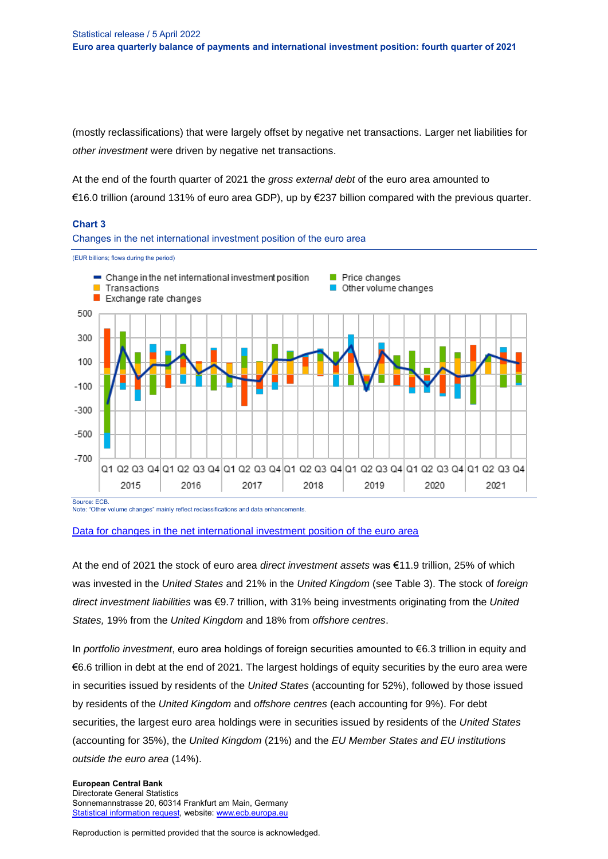(mostly reclassifications) that were largely offset by negative net transactions. Larger net liabilities for *other investment* were driven by negative net transactions.

At the end of the fourth quarter of 2021 the *gross external debt* of the euro area amounted to €16.0 trillion (around 131% of euro area GDP), up by €237 billion compared with the previous quarter.

### **Chart 3**

Changes in the net international investment position of the euro area



Note: "Other volume changes" mainly reflect reclassifications and data enhancements.

#### [Data for changes in the net international investment position of the euro area](http://sdw.ecb.europa.eu/browseSelection.do?type=series&q=BP6.Q.N.I8.W1.S1.S1.K.N.FA._T.F._Z.EUR._T._X.N+BP6.Q.N.I8.W1.S1.S1.K7A.N.FA._T.F._Z.EUR._T._X.N+BP6.Q.N.I8.W1.S1.S1.K7B.N.FA._T.F._Z.EUR._T._X.N+BP6.Q.N.I8.W1.S1.S1.KA.N.FA._T.F._Z.EUR._T._X.N+BP6.Q.N.I8.W1.S1.S1.LE.N.FA._T.F._Z.EUR._T._X.N++BP6.Q.N.I8.W1.S1.S1.T.N.FA._T.F._Z.EUR._T._X.N&node=SEARCHRESULTS&ec=&oc=&rc=&cv=&pb=&dc=&df=)

At the end of 2021 the stock of euro area *direct investment assets* was €11.9 trillion, 25% of which was invested in the *United States* and 21% in the *United Kingdom* (see Table 3). The stock of *foreign direct investment liabilities* was €9.7 trillion, with 31% being investments originating from the *United States,* 19% from the *United Kingdom* and 18% from *offshore centres*.

In *portfolio investment*, euro area holdings of foreign securities amounted to €6.3 trillion in equity and €6.6 trillion in debt at the end of 2021. The largest holdings of equity securities by the euro area were in securities issued by residents of the *United States* (accounting for 52%), followed by those issued by residents of the *United Kingdom* and *offshore centres* (each accounting for 9%). For debt securities, the largest euro area holdings were in securities issued by residents of the *United States* (accounting for 35%), the *United Kingdom* (21%) and the *EU Member States and EU institutions outside the euro area* (14%).

#### **European Central Bank** Directorate General Statistics Sonnemannstrasse 20, 60314 Frankfurt am Main, Germany [Statistical information request,](https://ecb-registration.escb.eu/statistical-information) website: [www.ecb.europa.eu](http://www.ecb.europa.eu/)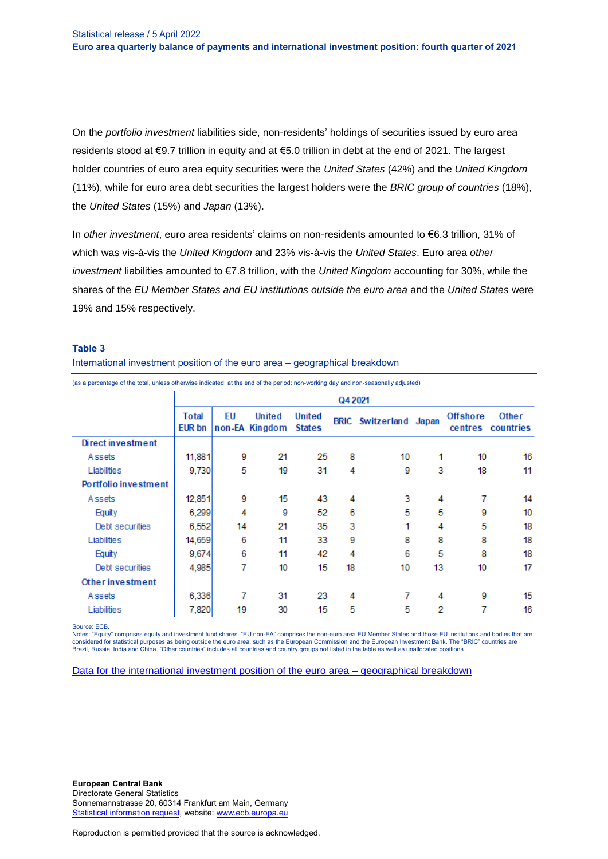On the *portfolio investment* liabilities side, non-residents' holdings of securities issued by euro area residents stood at €9.7 trillion in equity and at €5.0 trillion in debt at the end of 2021. The largest holder countries of euro area equity securities were the *United States* (42%) and the *United Kingdom* (11%), while for euro area debt securities the largest holders were the *BRIC group of countries* (18%), the *United States* (15%) and *Japan* (13%).

In *other investment*, euro area residents' claims on non-residents amounted to €6.3 trillion, 31% of which was vis-à-vis the *United Kingdom* and 23% vis-à-vis the *United States*. Euro area *other investment* liabilities amounted to €7.8 trillion, with the *United Kingdom* accounting for 30%, while the shares of the *EU Member States and EU institutions outside the euro area* and the *United States* were 19% and 15% respectively.

#### **Table 3**

International investment position of the euro area – geographical breakdown

(as a percentage of the total, unless otherwise indicated; at the end of the period; non-working day and non-seasonally adjusted)

|                             | Q4 2021                       |    |                                 |                                |    |                               |    |                            |                    |  |  |
|-----------------------------|-------------------------------|----|---------------------------------|--------------------------------|----|-------------------------------|----|----------------------------|--------------------|--|--|
|                             | <b>Total</b><br><b>EUR bn</b> | EU | <b>United</b><br>non-EA Kingdom | <b>United</b><br><b>States</b> |    | <b>BRIC</b> Switzerland Japan |    | <b>Offshore</b><br>centres | Other<br>countries |  |  |
| <b>Direct investment</b>    |                               |    |                                 |                                |    |                               |    |                            |                    |  |  |
| Assets                      | 11,881                        | 9  | 21                              | 25                             | 8  | 10                            | 1  | 10                         | 16                 |  |  |
| Liabilities                 | 9,730                         | 5  | 19                              | 31                             | 4  | 9                             | 3  | 18                         | 11                 |  |  |
| <b>Portfolio investment</b> |                               |    |                                 |                                |    |                               |    |                            |                    |  |  |
| Assets                      | 12,851                        | 9  | 15                              | 43                             | 4  | 3                             | 4  | 7                          | 14                 |  |  |
| Equity                      | 6.299                         | 4  | 9                               | 52                             | 6  | 5                             | 5  | 9                          | 10                 |  |  |
| Debt securities             | 6,552                         | 14 | 21                              | 35                             | 3  | 1                             | 4  | 5                          | 18                 |  |  |
| Liabilities                 | 14,659                        | 6  | 11                              | 33                             | 9  | 8                             | 8  | 8                          | 18                 |  |  |
| Equity                      | 9,674                         | 6  | 11                              | 42                             | 4  | 6                             | 5  | 8                          | 18                 |  |  |
| Debt securities             | 4,985                         | 7  | 10                              | 15                             | 18 | 10                            | 13 | 10                         | 17                 |  |  |
| Other investment            |                               |    |                                 |                                |    |                               |    |                            |                    |  |  |
| Assets                      | 6,336                         | 7  | 31                              | 23                             | 4  | 7                             | 4  | 9                          | 15                 |  |  |
| Liabilities                 | 7,820                         | 19 | 30                              | 15                             | 5  | 5                             | 2  | 7                          | 16                 |  |  |

Source: ECB.

Notes: "Equity" comprises equity and investment fund shares. "EU non-EA" comprises the non-euro area EU Member States and those EU institutions and bodies that are considered for statistical purposes as being outside the euro area, such as the European Commission and the European Investment Bank. The "BRIC" countries are<br>Brazil, Russia, India and China. "Other countries" includes all

[Data for the international investment position of the euro area –](http://sdw.ecb.europa.eu/browseSelection.do?df=true&ec=&dc=&oc=&pb=&rc=&DATASET=0&removeItem=&removedItemList=&mergeFilter=&activeTab=&showHide=&REF_AREA.243=I8&REF_SECTOR.243=S1&COUNTERPART_SECTOR.243=S1&FLOW_STOCK_ENTRY.243=LE&ACCOUNTING_ENTRY.243=A&ACCOUNTING_ENTRY.243=L&FUNCTIONAL_CAT.243=D&FUNCTIONAL_CAT.243=O&FUNCTIONAL_CAT.243=P&INSTR_ASSET.243=F&INSTR_ASSET.243=F3&INSTR_ASSET.243=F5&UNIT_MEASURE.243=EUR&MAX_DOWNLOAD_SERIES=500&SERIES_MAX_NUM=50&node=9688874&legendRef=reference&legendNor=&ajaxTab=true) geographical breakdown

**European Central Bank** Directorate General Statistics Sonnemannstrasse 20, 60314 Frankfurt am Main, Germany [Statistical information request,](https://ecb-registration.escb.eu/statistical-information) website: [www.ecb.europa.eu](http://www.ecb.europa.eu/)